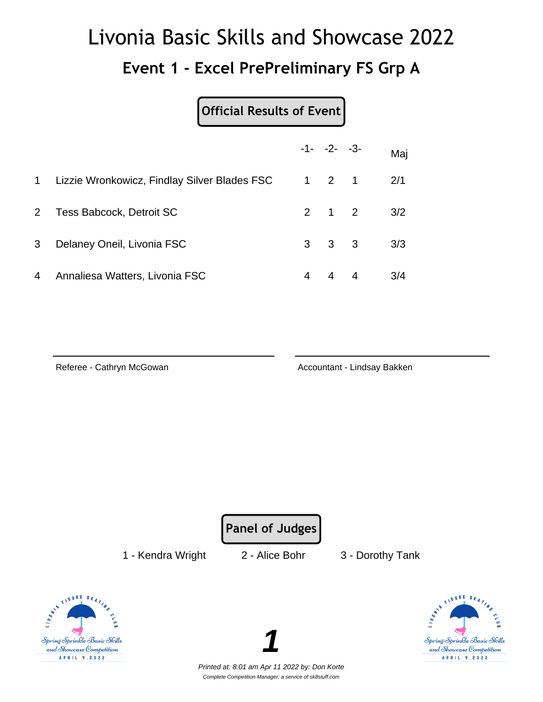# Livonia Basic Skills and Showcase 2022 **Event 1 - Excel PrePreliminary FS Grp A**

**Official Results of Event**

|           |                                              |   | $-1 - -2 - -3$      | Maj |
|-----------|----------------------------------------------|---|---------------------|-----|
| $1 \quad$ | Lizzie Wronkowicz, Findlay Silver Blades FSC |   | $1 \quad 2 \quad 1$ | 2/1 |
| $2 -$     | Tess Babcock, Detroit SC                     |   | $2 \t1 \t2$         | 3/2 |
| 3         | Delaney Oneil, Livonia FSC                   |   | $3 \quad 3 \quad 3$ | 3/3 |
| 4         | Annaliesa Watters, Livonia FSC               | 4 | $4 \quad 4$         | 3/4 |

Referee - Cathryn McGowan **Accountant - Lindsay Bakken** Accountant - Lindsay Bakken

**Panel of Judges**

1 - Kendra Wright 2 - Alice Bohr 3 - Dorothy Tank





Printed at: 8:01 am Apr 11 2022 by: Don Korte Complete Competition Manager; a service of sk8stuff.com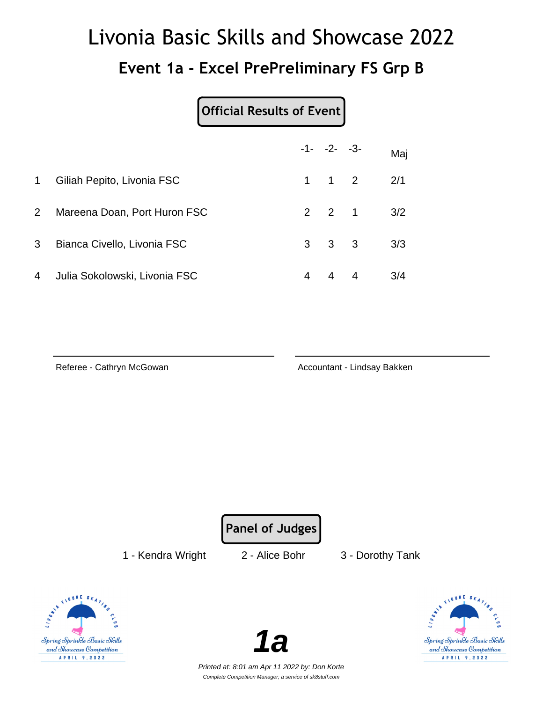## Livonia Basic Skills and Showcase 2022 **Event 1a - Excel PrePreliminary FS Grp B**

#### **Official Results of Event**

|             |                               |   | $-1 - -2 - -3$      |                | Maj |
|-------------|-------------------------------|---|---------------------|----------------|-----|
| $\mathbf 1$ | Giliah Pepito, Livonia FSC    |   | $1 \quad 1 \quad 2$ |                | 2/1 |
| $2^{\circ}$ | Mareena Doan, Port Huron FSC  |   | $2 \quad 2 \quad 1$ |                | 3/2 |
| 3           | Bianca Civello, Livonia FSC   |   | $3 \quad 3 \quad 3$ |                | 3/3 |
| 4           | Julia Sokolowski, Livonia FSC | 4 | $\overline{4}$      | $\overline{4}$ | 3/4 |

Referee - Cathryn McGowan **Accountant - Lindsay Bakken** Accountant - Lindsay Bakken

**Panel of Judges**

1 - Kendra Wright 2 - Alice Bohr 3 - Dorothy Tank





Spring Sprinkle Basic Skills and Showcase Competition A P R I L 9 , 2022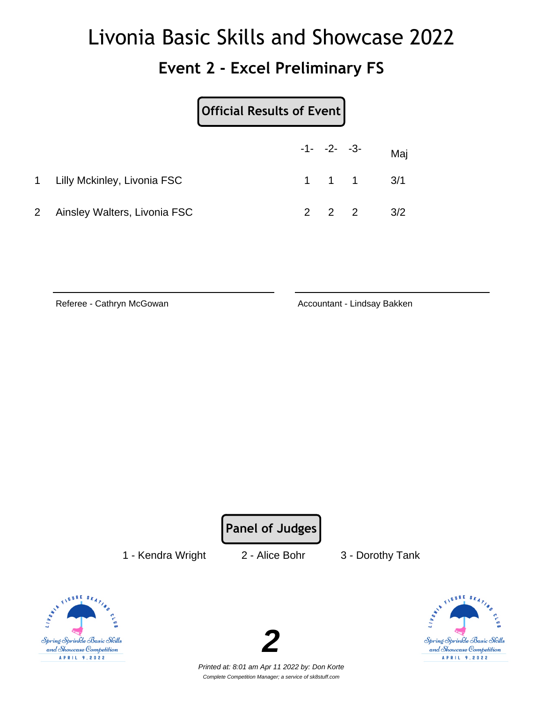#### **Event 2 - Excel Preliminary FS**

|                |                               | Official Results of Event |  |  |                               |
|----------------|-------------------------------|---------------------------|--|--|-------------------------------|
|                |                               |                           |  |  | $-1 - -2 - -3 -$ Maj          |
|                | 1 Lilly Mckinley, Livonia FSC |                           |  |  | $1 \quad 1 \quad 1 \quad 3/1$ |
| $\overline{2}$ | Ainsley Walters, Livonia FSC  |                           |  |  | $2 \t2 \t2 \t3/2$             |

Referee - Cathryn McGowan **Accountant - Lindsay Bakken** Accountant - Lindsay Bakken

**Panel of Judges**

1 - Kendra Wright 2 - Alice Bohr 3 - Dorothy Tank





Spring Sprinkle Basic Skills and Showcase Competition A P R I L 9, 2022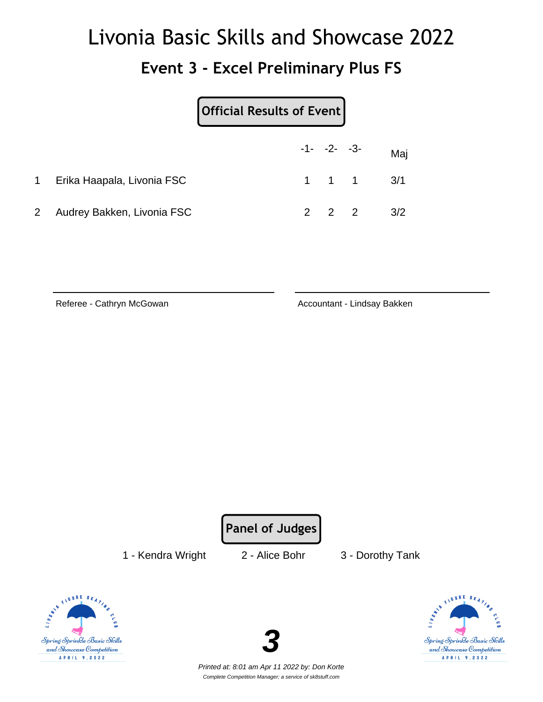#### **Event 3 - Excel Preliminary Plus FS**

|                |                              | Official Results of Event |  |                               |     |
|----------------|------------------------------|---------------------------|--|-------------------------------|-----|
|                |                              |                           |  | $-1 - -2 - -3 -$ Maj          |     |
|                | 1 Erika Haapala, Livonia FSC |                           |  | $1 \quad 1 \quad 1 \quad 3/1$ |     |
| $\overline{2}$ | Audrey Bakken, Livonia FSC   |                           |  | $2 \quad 2 \quad 2$           | 3/2 |

Referee - Cathryn McGowan **Accountant - Lindsay Bakken** Accountant - Lindsay Bakken

**Panel of Judges**

1 - Kendra Wright 2 - Alice Bohr 3 - Dorothy Tank





Spring Sprinkle Basic Skills and Showcase Competition A P R I L 9, 2022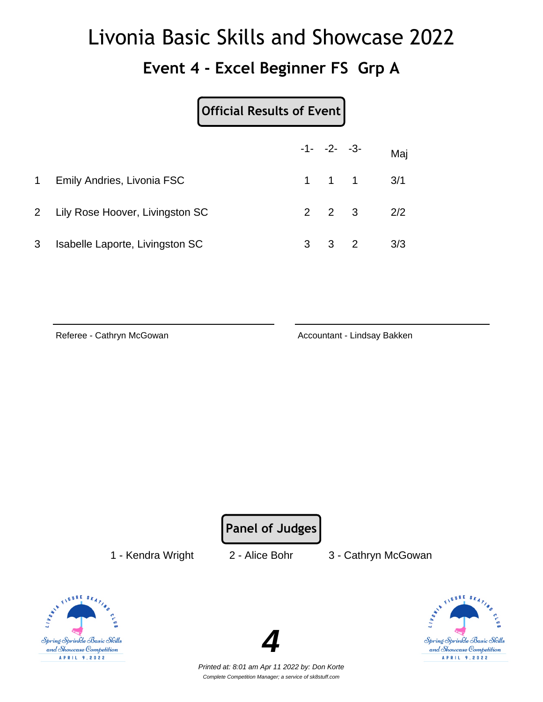#### **Event 4 - Excel Beginner FS Grp A**

#### **Official Results of Event**

|   |                                   |   |                     | $-1 - -2 - -3$                | Maj |
|---|-----------------------------------|---|---------------------|-------------------------------|-----|
| 1 | <b>Emily Andries, Livonia FSC</b> |   |                     | $1 \quad 1 \quad 1 \quad 3/1$ |     |
|   | 2 Lily Rose Hoover, Livingston SC |   | $2 \quad 2 \quad 3$ |                               | 2/2 |
| 3 | Isabelle Laporte, Livingston SC   | 3 | $3\quad 2$          |                               | 3/3 |

Referee - Cathryn McGowan **Accountant - Lindsay Bakken** Accountant - Lindsay Bakken

**Panel of Judges**

1 - Kendra Wright 2 - Alice Bohr 3 - Cathryn McGowan





Printed at: 8:01 am Apr 11 2022 by: Don Korte Complete Competition Manager; a service of sk8stuff.com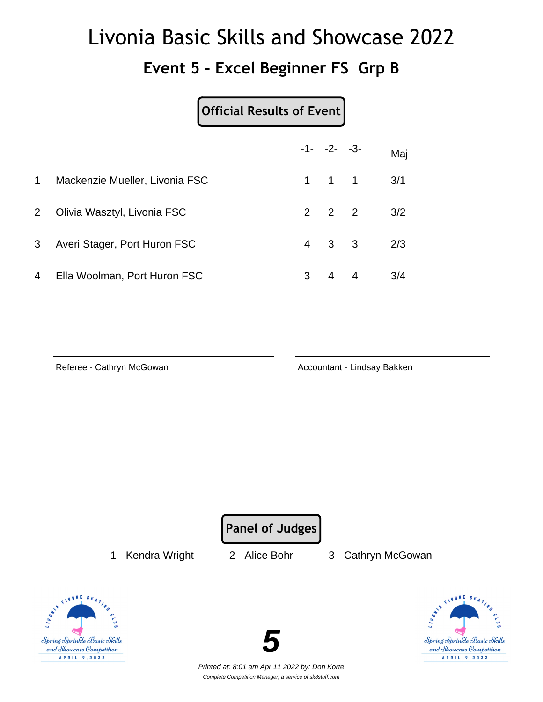#### **Event 5 - Excel Beginner FS Grp B**

#### **Official Results of Event**

|                |                                |   | $-1 - -2 - -3$      | Maj |
|----------------|--------------------------------|---|---------------------|-----|
| $\mathbf 1$    | Mackenzie Mueller, Livonia FSC |   | $1 \quad 1 \quad 1$ | 3/1 |
| 2 <sup>1</sup> | Olivia Wasztyl, Livonia FSC    |   | $2 \quad 2 \quad 2$ | 3/2 |
| 3 <sup>7</sup> | Averi Stager, Port Huron FSC   |   | $4 \quad 3 \quad 3$ | 2/3 |
| 4              | Ella Woolman, Port Huron FSC   | 3 | $4 \quad 4$         | 3/4 |

Referee - Cathryn McGowan **Accountant - Lindsay Bakken** Accountant - Lindsay Bakken

**Panel of Judges**

1 - Kendra Wright 2 - Alice Bohr 3 - Cathryn McGowan





FIGURE SK Spring Sprinkle Basic Skills and Showcase Competition A P R I L 9 , 2022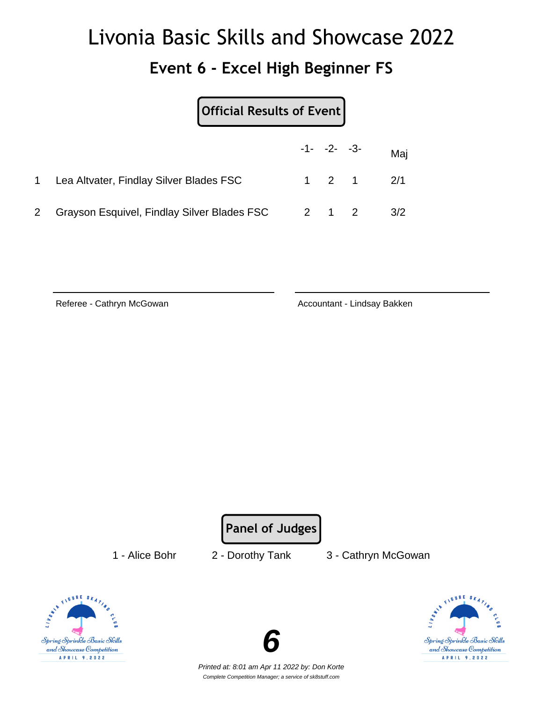#### **Event 6 - Excel High Beginner FS**

| Official Results of Event                   |  |                |                   |
|---------------------------------------------|--|----------------|-------------------|
|                                             |  | $-1 - -2 - -3$ | Maj               |
| Lea Altvater, Findlay Silver Blades FSC     |  |                | $1 \t2 \t1 \t2/1$ |
| Grayson Esquivel, Findlay Silver Blades FSC |  | 2 1 2          | 3/2               |

Referee - Cathryn McGowan **Accountant - Lindsay Bakken** Accountant - Lindsay Bakken

**Panel of Judges**

1 - Alice Bohr 2 - Dorothy Tank 3 - Cathryn McGowan





Spring Sprinkle Basic Skills and Showcase Competition A P R I L 9, 2022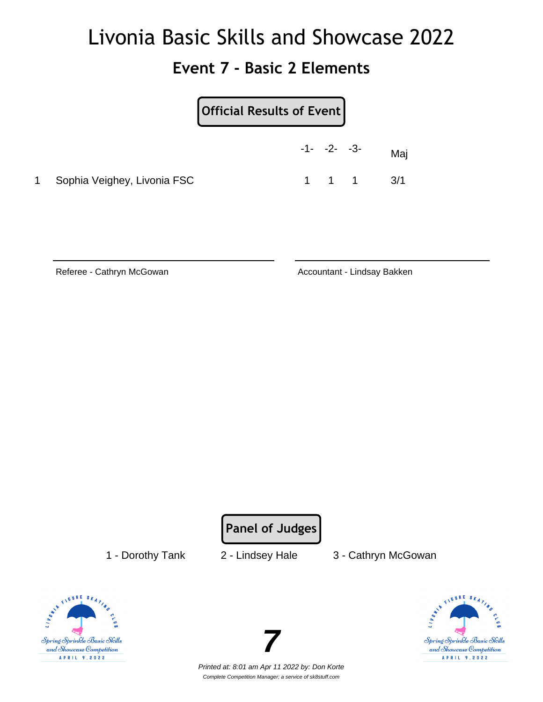#### **Event 7 - Basic 2 Elements**

|    |                             | Official Results of Event |  |                     |     |  |  |
|----|-----------------------------|---------------------------|--|---------------------|-----|--|--|
|    |                             | $-1 - -2 - -3$            |  |                     | Maj |  |  |
| 1. | Sophia Veighey, Livonia FSC |                           |  | $1 \quad 1 \quad 1$ | 3/1 |  |  |

Referee - Cathryn McGowan **Accountant - Lindsay Bakken** Accountant - Lindsay Bakken

**Panel of Judges**

1 - Dorothy Tank 2 - Lindsey Hale 3 - Cathryn McGowan





Printed at: 8:01 am Apr 11 2022 by: Don Korte Complete Competition Manager; a service of sk8stuff.com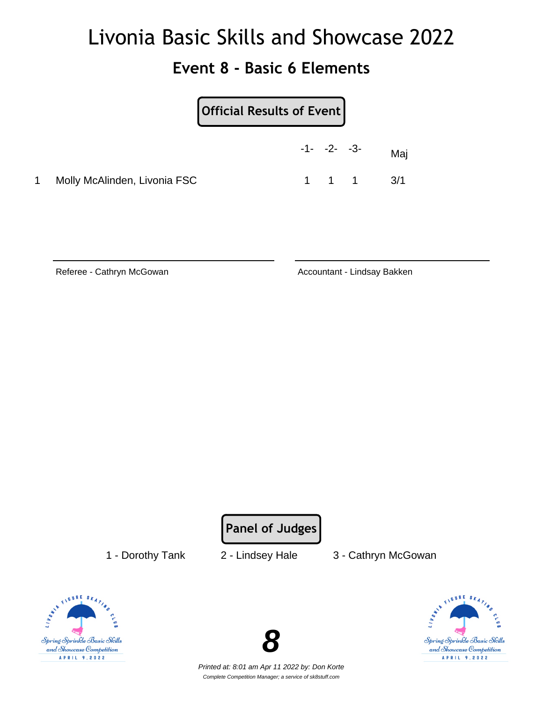#### **Event 8 - Basic 6 Elements**

|    |                              | Official Results of Event |                |  |                               |  |
|----|------------------------------|---------------------------|----------------|--|-------------------------------|--|
|    |                              |                           | $-1 - -2 - -3$ |  | Maj                           |  |
| 1. | Molly McAlinden, Livonia FSC |                           |                |  | $1 \quad 1 \quad 1 \quad 3/1$ |  |

Referee - Cathryn McGowan **Accountant - Lindsay Bakken** Accountant - Lindsay Bakken

**Panel of Judges**

1 - Dorothy Tank 2 - Lindsey Hale 3 - Cathryn McGowan





Spring Sprinkle Basic Skills and Showcase Competition A P R I L 9, 2022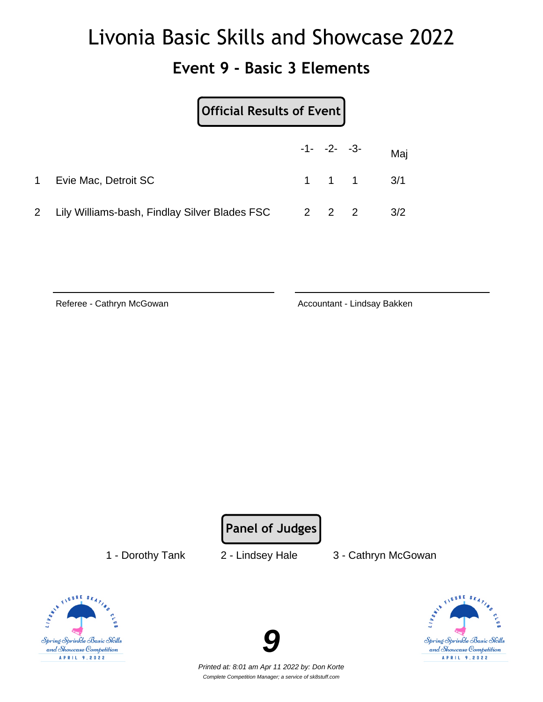#### **Event 9 - Basic 3 Elements**

|                | Official Results of Event                           |  |                               |
|----------------|-----------------------------------------------------|--|-------------------------------|
|                |                                                     |  | $-1 - -2 - -3 -$ Maj          |
| $1 \quad$      | Evie Mac, Detroit SC                                |  | $1 \quad 1 \quad 1 \quad 3/1$ |
| $\overline{2}$ | Lily Williams-bash, Findlay Silver Blades FSC 2 2 2 |  | 3/2                           |

Referee - Cathryn McGowan **Accountant - Lindsay Bakken** 

**Panel of Judges**

1 - Dorothy Tank 2 - Lindsey Hale 3 - Cathryn McGowan





Printed at: 8:01 am Apr 11 2022 by: Don Korte Complete Competition Manager; a service of sk8stuff.com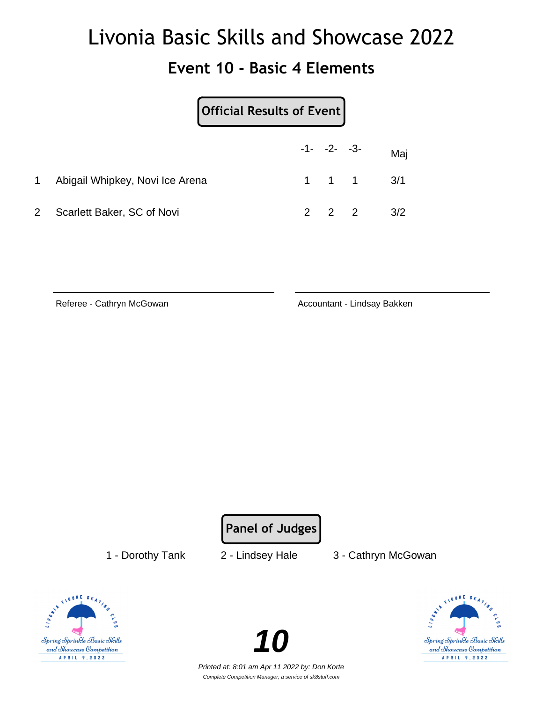#### **Event 10 - Basic 4 Elements**

|                | Official Results of Event       |  |                     |     |
|----------------|---------------------------------|--|---------------------|-----|
|                |                                 |  | $-1 - -2 - -3$      | Maj |
| 1              | Abigail Whipkey, Novi Ice Arena |  | $1 \quad 1 \quad 1$ | 3/1 |
| $\mathbf{2}^-$ | Scarlett Baker, SC of Novi      |  |                     | 3/2 |

Referee - Cathryn McGowan **Accountant - Lindsay Bakken** 

**Panel of Judges**

1 - Dorothy Tank 2 - Lindsey Hale 3 - Cathryn McGowan





Printed at: 8:01 am Apr 11 2022 by: Don Korte Complete Competition Manager; a service of sk8stuff.com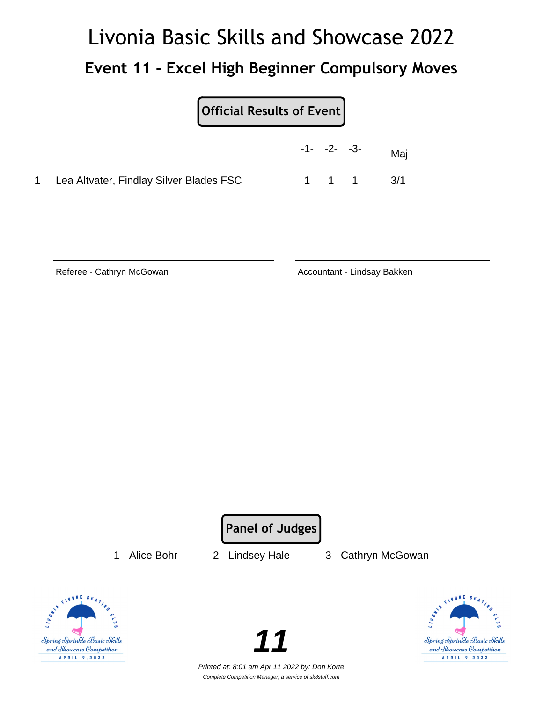# Livonia Basic Skills and Showcase 2022 **Event 11 - Excel High Beginner Compulsory Moves**

|                                           | $-1 - -2 - -3$ |       | Maj |
|-------------------------------------------|----------------|-------|-----|
| 1 Lea Altvater, Findlay Silver Blades FSC |                | 1 1 1 | 3/1 |

Referee - Cathryn McGowan **Accountant - Lindsay Bakken** Accountant - Lindsay Bakken

**Panel of Judges**

1 - Alice Bohr 2 - Lindsey Hale 3 - Cathryn McGowan





Printed at: 8:01 am Apr 11 2022 by: Don Korte Complete Competition Manager; a service of sk8stuff.com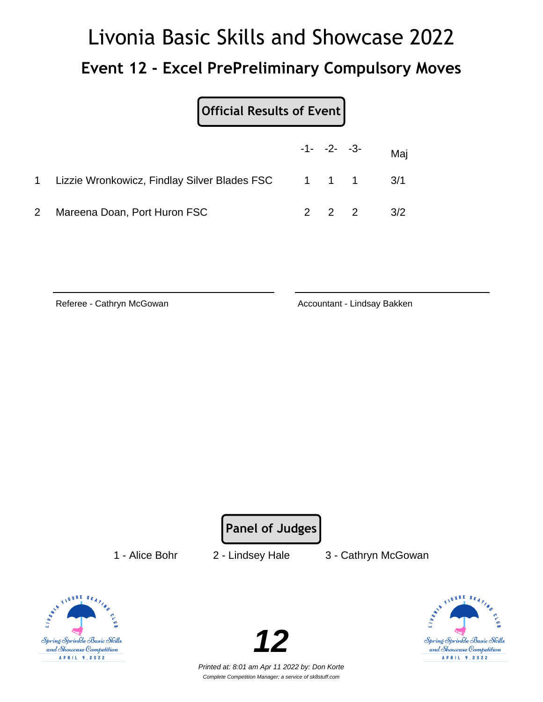# Livonia Basic Skills and Showcase 2022 **Event 12 - Excel PrePreliminary Compulsory Moves**

| Official Results of Event                                |  |                          |
|----------------------------------------------------------|--|--------------------------|
|                                                          |  | $-1$ - $-2$ - $-3$ - Maj |
| 1 Lizzie Wronkowicz, Findlay Silver Blades FSC 1 1 1 3/1 |  |                          |

2 Mareena Doan, Port Huron FSC 2 2 2 3/2

Referee - Cathryn McGowan **Accountant - Lindsay Bakken** 

**Panel of Judges**

1 - Alice Bohr 2 - Lindsey Hale 3 - Cathryn McGowan





Printed at: 8:01 am Apr 11 2022 by: Don Korte Complete Competition Manager; a service of sk8stuff.com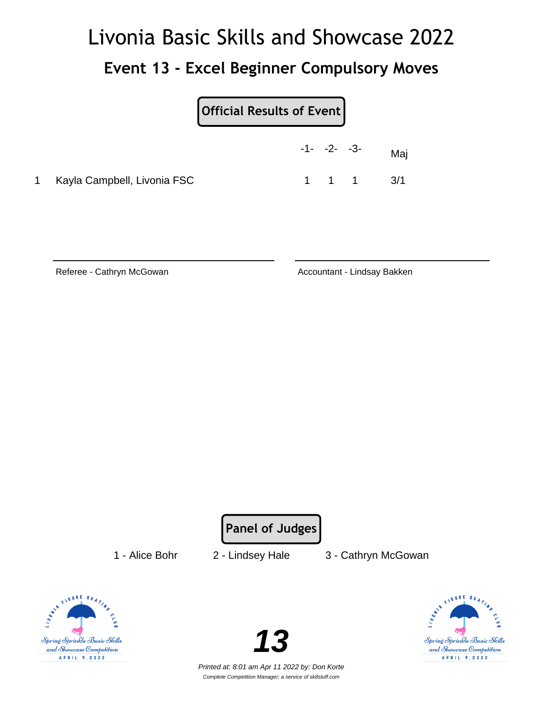## Livonia Basic Skills and Showcase 2022 **Event 13 - Excel Beginner Compulsory Moves**

|   |                             | Official Results of Event |                |                               |
|---|-----------------------------|---------------------------|----------------|-------------------------------|
|   |                             |                           | $-1 - -2 - -3$ | Maj                           |
| 1 | Kayla Campbell, Livonia FSC |                           |                | $1 \quad 1 \quad 1 \quad 3/1$ |

Referee - Cathryn McGowan **Accountant - Lindsay Bakken** Accountant - Lindsay Bakken

**Panel of Judges**

1 - Alice Bohr 2 - Lindsey Hale 3 - Cathryn McGowan





Printed at: 8:01 am Apr 11 2022 by: Don Korte Complete Competition Manager; a service of sk8stuff.com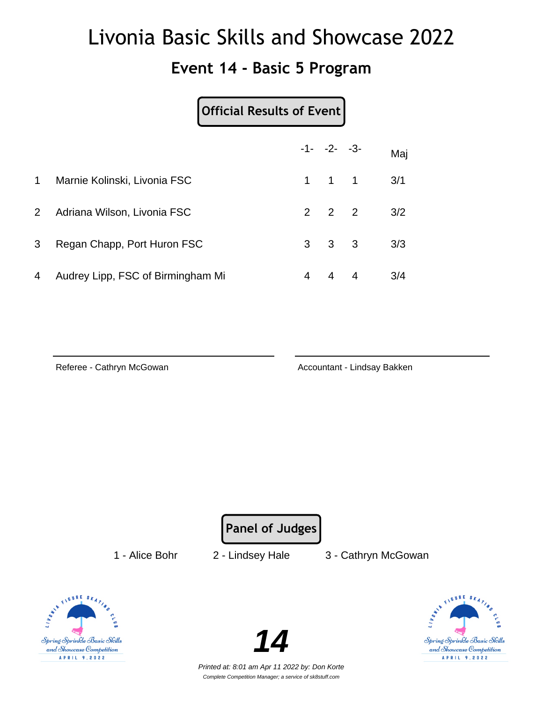#### **Event 14 - Basic 5 Program**

|             | Official Results of Event         |                |                     |   |     |
|-------------|-----------------------------------|----------------|---------------------|---|-----|
|             |                                   |                | $-1 - -2 - -3$      |   | Maj |
| $\mathbf 1$ | Marnie Kolinski, Livonia FSC      | $\mathbf{1}$   | $1 \quad 1$         |   | 3/1 |
| $2^{\circ}$ | Adriana Wilson, Livonia FSC       |                | $2 \quad 2 \quad 2$ |   | 3/2 |
| 3           | Regan Chapp, Port Huron FSC       | 3 <sup>1</sup> | $3 \quad 3$         |   | 3/3 |
| 4           | Audrey Lipp, FSC of Birmingham Mi | 4              | 4                   | 4 | 3/4 |

Referee - Cathryn McGowan **Accountant - Lindsay Bakken** Accountant - Lindsay Bakken

**Panel of Judges**

1 - Alice Bohr 2 - Lindsey Hale 3 - Cathryn McGowan





Spring Sprinkle Basic Skills and Showcase Competition A P R I L 9, 2022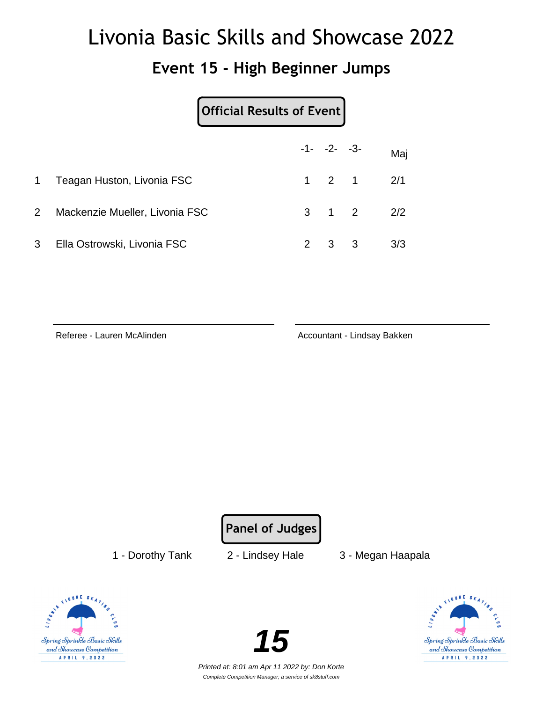#### **Event 15 - High Beginner Jumps**

|                |                                | Official Results of Event |                |    |                   |
|----------------|--------------------------------|---------------------------|----------------|----|-------------------|
|                |                                |                           | $-1 - -2 - -3$ |    | Maj               |
| 1              | Teagan Huston, Livonia FSC     |                           |                |    | $1 \t2 \t1 \t2/1$ |
| $\overline{2}$ | Mackenzie Mueller, Livonia FSC |                           |                |    | $3 \t1 \t2 \t2/2$ |
| 3              | Ella Ostrowski, Livonia FSC    |                           | -3             | -3 | 3/3               |

Referee - Lauren McAlinden **Accountant - Lindsay Bakken** 

**Panel of Judges**

1 - Dorothy Tank 2 - Lindsey Hale 3 - Megan Haapala





Printed at: 8:01 am Apr 11 2022 by: Don Korte Complete Competition Manager; a service of sk8stuff.com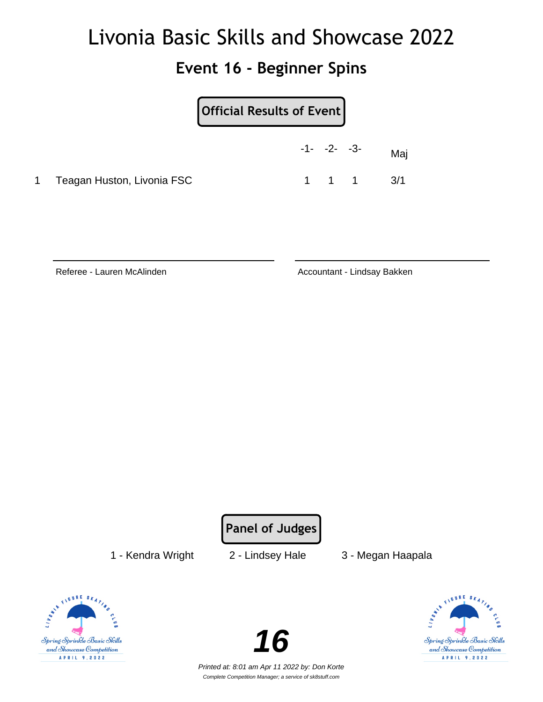#### **Event 16 - Beginner Spins**

|                            | Official Results of Event |                               |     |
|----------------------------|---------------------------|-------------------------------|-----|
|                            | $-1 - -2 - -3$            |                               | Maj |
| Teagan Huston, Livonia FSC |                           | $1 \quad 1 \quad 1 \quad 3/1$ |     |

Referee - Lauren McAlinden **Accountant - Lindsay Bakken** 

**Panel of Judges**

1 - Kendra Wright 2 - Lindsey Hale 3 - Megan Haapala





Spring Sprinkle Basic Skills and Showcase Competition A P R I L 9, 2022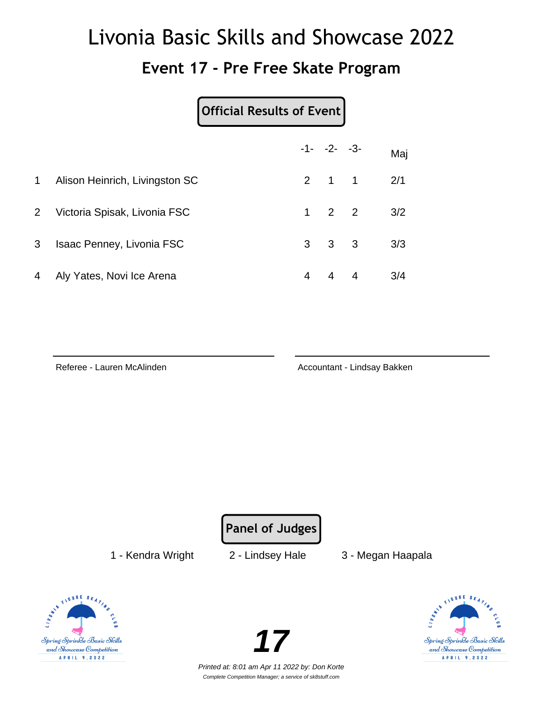#### **Event 17 - Pre Free Skate Program**

|                |                                  | <b>Official Results of Event</b> |                     |   |     |
|----------------|----------------------------------|----------------------------------|---------------------|---|-----|
|                |                                  |                                  | $-1 - -2 - -3$      |   | Maj |
| $\mathbf 1$    | Alison Heinrich, Livingston SC   |                                  | $2 \quad 1 \quad 1$ |   | 2/1 |
| 2 <sup>1</sup> | Victoria Spisak, Livonia FSC     |                                  | $1 \quad 2 \quad 2$ |   | 3/2 |
| 3              | <b>Isaac Penney, Livonia FSC</b> | 3                                | $3 \quad 3$         |   | 3/3 |
| 4              | Aly Yates, Novi Ice Arena        | 4                                | $\overline{4}$      | 4 | 3/4 |

Referee - Lauren McAlinden Accountant - Lindsay Bakken

**Panel of Judges**

1 - Kendra Wright 2 - Lindsey Hale 3 - Megan Haapala





Printed at: 8:01 am Apr 11 2022 by: Don Korte Complete Competition Manager; a service of sk8stuff.com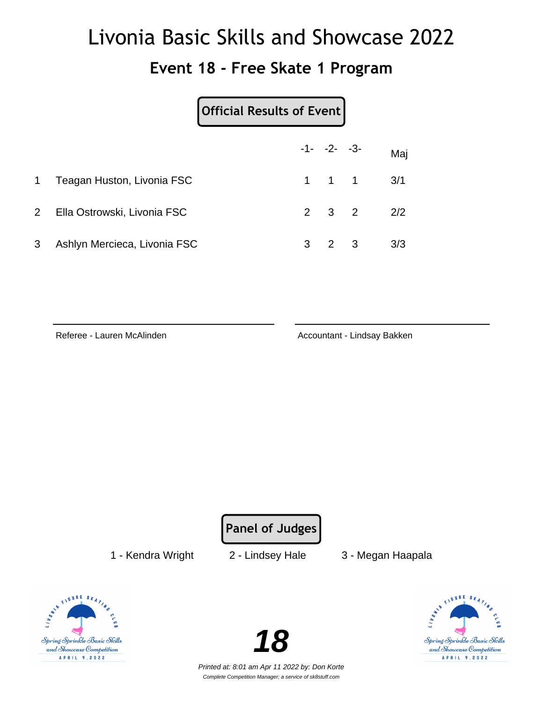#### **Event 18 - Free Skate 1 Program**

|                |                              | Official Results of Event |                     |                            |     |
|----------------|------------------------------|---------------------------|---------------------|----------------------------|-----|
|                |                              |                           | $-1 - -2 - -3$      |                            | Maj |
| 1              | Teagan Huston, Livonia FSC   |                           | $1 \quad 1 \quad 1$ |                            | 3/1 |
| $\overline{2}$ | Ella Ostrowski, Livonia FSC  |                           | $2 \quad 3 \quad 2$ |                            | 2/2 |
| 3              | Ashlyn Mercieca, Livonia FSC | 3                         |                     | $\overline{\phantom{a}}$ 3 | 3/3 |

Referee - Lauren McAlinden **Accountant - Lindsay Bakken** 

**Panel of Judges**

1 - Kendra Wright 2 - Lindsey Hale 3 - Megan Haapala





Printed at: 8:01 am Apr 11 2022 by: Don Korte Complete Competition Manager; a service of sk8stuff.com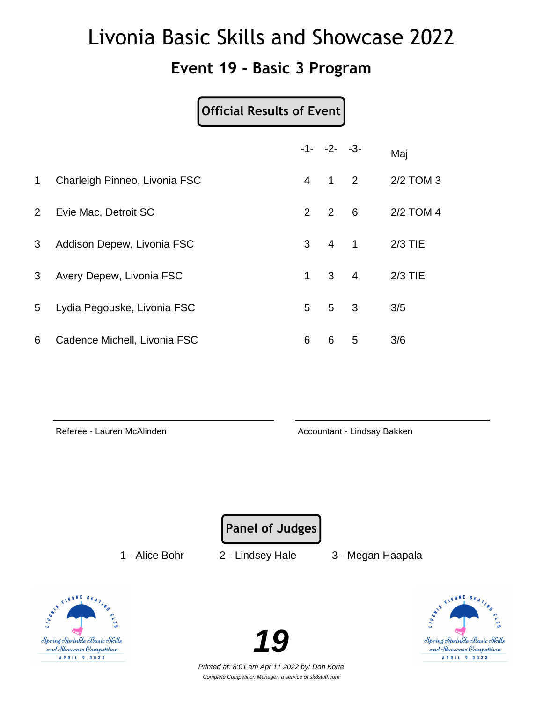#### **Event 19 - Basic 3 Program**

#### **Official Results of Event**

|                |                               |                | $-1 - -2 - -3$ |                            | Maj       |
|----------------|-------------------------------|----------------|----------------|----------------------------|-----------|
| $\mathbf 1$    | Charleigh Pinneo, Livonia FSC | 4              | $1 \quad 2$    |                            | 2/2 TOM 3 |
| $\overline{2}$ | Evie Mac, Detroit SC          | $\overline{2}$ | $\overline{2}$ | $6\overline{6}$            | 2/2 TOM 4 |
| 3              | Addison Depew, Livonia FSC    | 3              | $\overline{4}$ | $\overline{\phantom{0}}$ 1 | $2/3$ TIE |
| 3              | Avery Depew, Livonia FSC      | 1.             | $3 \quad 4$    |                            | $2/3$ TIE |
| 5              | Lydia Pegouske, Livonia FSC   | 5              | 5              | 3                          | 3/5       |
| 6              | Cadence Michell, Livonia FSC  | 6              | 6              | 5                          | 3/6       |

Referee - Lauren McAlinden Accountant - Lindsay Bakken

**Panel of Judges**

1 - Alice Bohr 2 - Lindsey Hale 3 - Megan Haapala





Printed at: 8:01 am Apr 11 2022 by: Don Korte Complete Competition Manager; a service of sk8stuff.com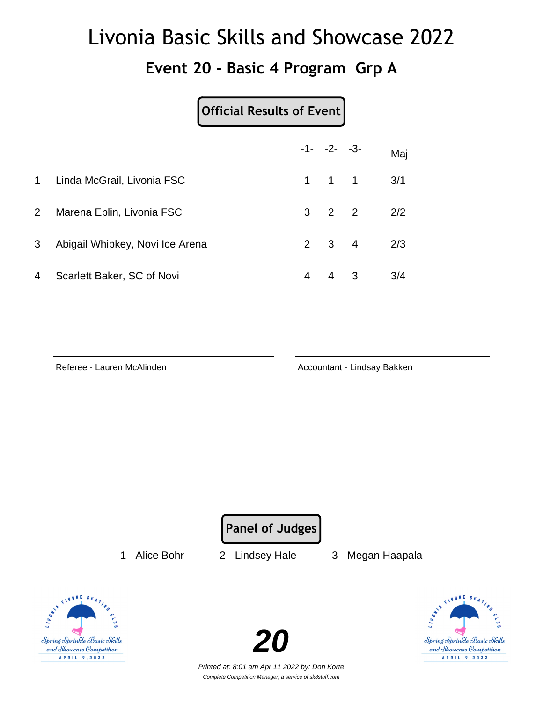#### **Event 20 - Basic 4 Program Grp A**

| <b>Official Results of Event</b> |
|----------------------------------|
|----------------------------------|

|             |                                 |   | $-1 - -2 - -3$      | Maj |
|-------------|---------------------------------|---|---------------------|-----|
| 1           | Linda McGrail, Livonia FSC      |   | $1 \quad 1 \quad 1$ | 3/1 |
| $2^{\circ}$ | Marena Eplin, Livonia FSC       |   | $3 \quad 2 \quad 2$ | 2/2 |
| 3           | Abigail Whipkey, Novi Ice Arena |   | $2 \quad 3 \quad 4$ | 2/3 |
| 4           | Scarlett Baker, SC of Novi      | 4 | $4 \quad 3$         | 3/4 |

Referee - Lauren McAlinden Accountant - Lindsay Bakken

**Panel of Judges**

1 - Alice Bohr 2 - Lindsey Hale 3 - Megan Haapala





Printed at: 8:01 am Apr 11 2022 by: Don Korte Complete Competition Manager; a service of sk8stuff.com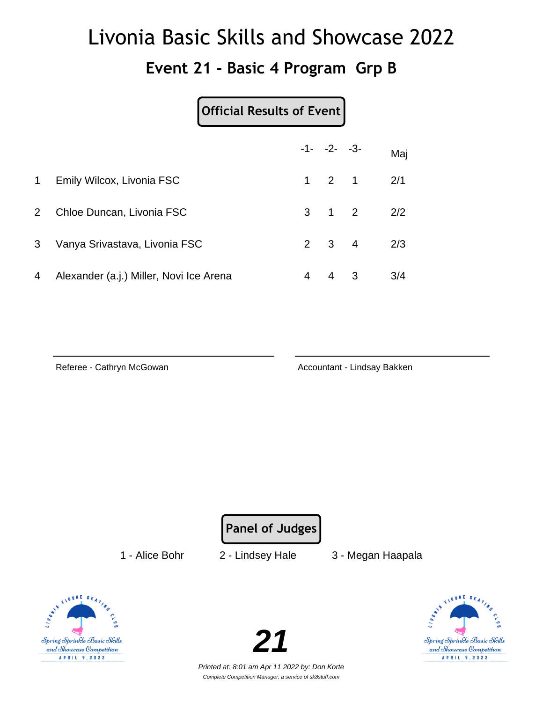#### **Event 21 - Basic 4 Program Grp B**

|              |                                         |   | $-1 - -2 - -3$      |                         | Maj |
|--------------|-----------------------------------------|---|---------------------|-------------------------|-----|
| $\mathbf{1}$ | Emily Wilcox, Livonia FSC               |   | $1 \quad 2 \quad 1$ |                         | 2/1 |
| $2^{\circ}$  | Chloe Duncan, Livonia FSC               |   | $3 \quad 1 \quad 2$ |                         | 2/2 |
| 3            | Vanya Srivastava, Livonia FSC           |   | $2 \quad 3 \quad 4$ |                         | 2/3 |
| 4            | Alexander (a.j.) Miller, Novi Ice Arena | 4 | 4                   | $\overline{\mathbf{3}}$ | 3/4 |

Referee - Cathryn McGowan **Accountant - Lindsay Bakken** Accountant - Lindsay Bakken

**Panel of Judges**

1 - Alice Bohr 2 - Lindsey Hale 3 - Megan Haapala





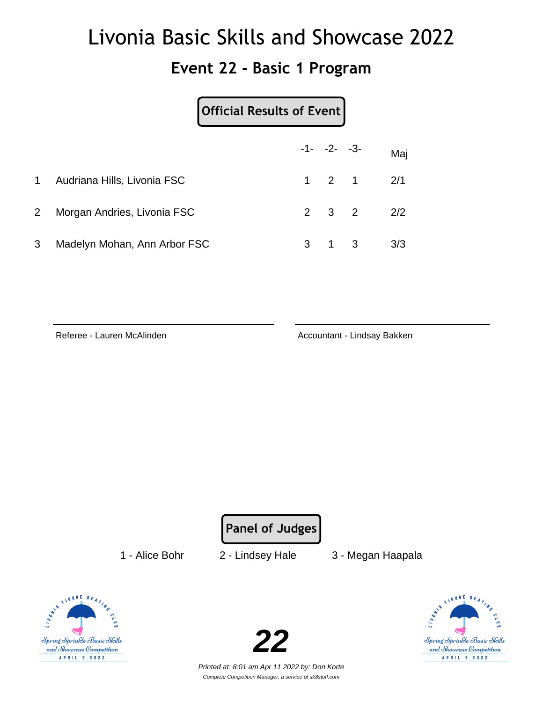#### **Event 22 - Basic 1 Program**

|                |                              | Official Results of Event |                     |   |     |
|----------------|------------------------------|---------------------------|---------------------|---|-----|
|                |                              |                           | $-1 - -2 - -3$      |   | Maj |
| 1              | Audriana Hills, Livonia FSC  |                           | $1 \quad 2 \quad 1$ |   | 2/1 |
| $\overline{2}$ | Morgan Andries, Livonia FSC  |                           | $2 \quad 3 \quad 2$ |   | 2/2 |
| 3              | Madelyn Mohan, Ann Arbor FSC | 3                         |                     | 3 | 3/3 |

Referee - Lauren McAlinden **Accountant - Lindsay Bakken** 

**Panel of Judges**

1 - Alice Bohr 2 - Lindsey Hale 3 - Megan Haapala





Spring Sprinkle Basic Skills and Showcase Competition A P R I L 9, 2022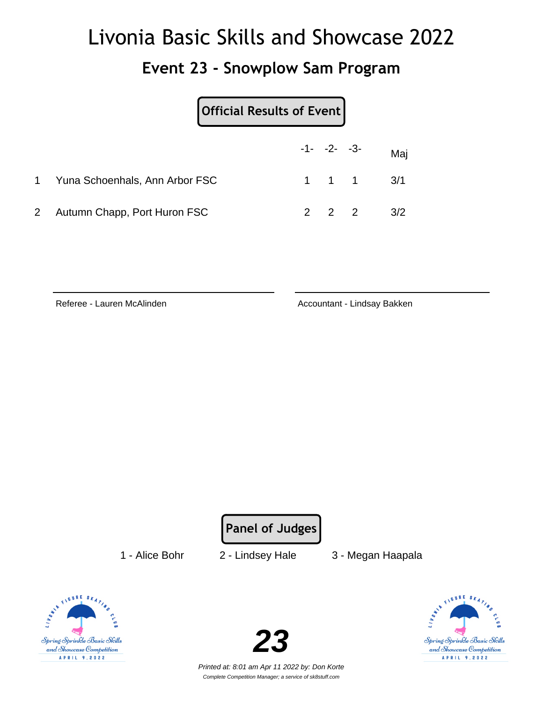#### **Event 23 - Snowplow Sam Program**

| Official Results of Event      |                |                               |
|--------------------------------|----------------|-------------------------------|
|                                | $-1 - -2 - -3$ | Maj                           |
| Yuna Schoenhals, Ann Arbor FSC |                | $1 \quad 1 \quad 1 \quad 3/1$ |
| 2 Autumn Chapp, Port Huron FSC | $2\quad 2$     | 3/2                           |

Referee - Lauren McAlinden Accountant - Lindsay Bakken

**Panel of Judges**

1 - Alice Bohr 2 - Lindsey Hale 3 - Megan Haapala





Spring Sprinkle Basic Skills and Showcase Competition A P R I L 9, 2022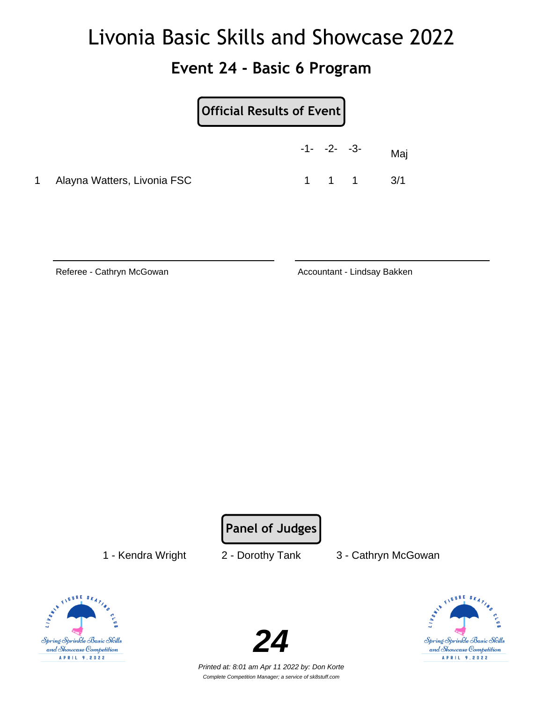#### **Event 24 - Basic 6 Program**

|   |                             | Official Results of Event |                |                               |     |
|---|-----------------------------|---------------------------|----------------|-------------------------------|-----|
|   |                             |                           | $-1 - -2 - -3$ |                               | Mai |
| 1 | Alayna Watters, Livonia FSC |                           |                | $1 \quad 1 \quad 1 \quad 3/1$ |     |

Referee - Cathryn McGowan **Accountant - Lindsay Bakken** Accountant - Lindsay Bakken

**Panel of Judges**

1 - Kendra Wright 2 - Dorothy Tank 3 - Cathryn McGowan





Spring Sprinkle Basic Skills and Showcase Competition A P R I L 9, 2022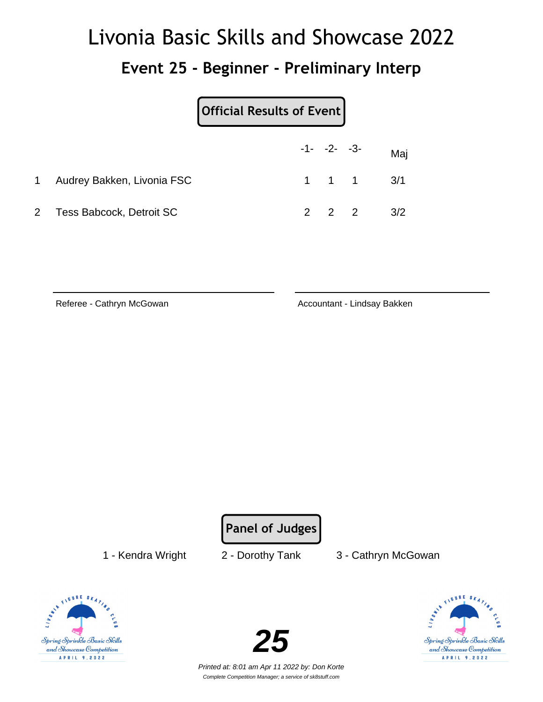#### **Event 25 - Beginner - Preliminary Interp**

|              |                            | Official Results of Event |                |                               |     |
|--------------|----------------------------|---------------------------|----------------|-------------------------------|-----|
|              |                            |                           | $-1 - -2 - -3$ |                               | Maj |
| $\mathbf{1}$ | Audrey Bakken, Livonia FSC |                           |                | $1 \quad 1 \quad 1 \quad 3/1$ |     |
|              | 2 Tess Babcock, Detroit SC |                           | $2 \quad 2$    |                               | 3/2 |

Referee - Cathryn McGowan **Accountant - Lindsay Bakken** 

**Panel of Judges**

1 - Kendra Wright 2 - Dorothy Tank 3 - Cathryn McGowan





FIGURE SK Spring Sprinkle Basic Skills and Showcase Competition APRIL 9, 2022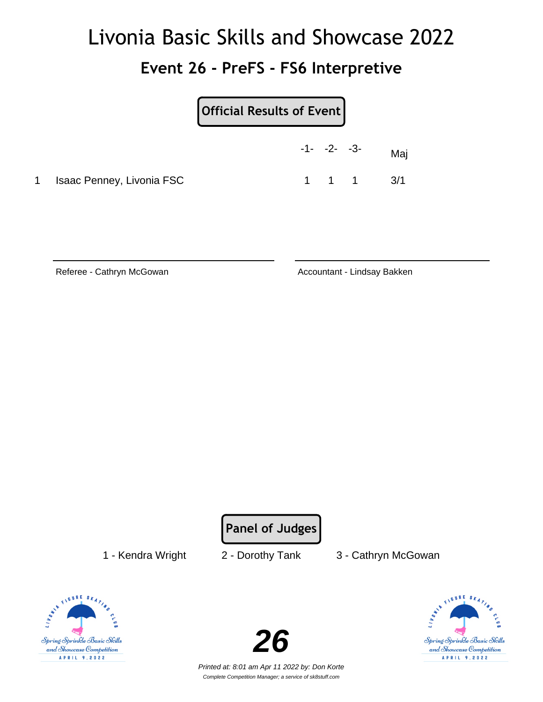# Livonia Basic Skills and Showcase 2022 **Event 26 - PreFS - FS6 Interpretive**

|  | <b>Official Results of Event</b> |  |
|--|----------------------------------|--|
|--|----------------------------------|--|

|                             | $-1 - -2 - -3$ |       | Maj |
|-----------------------------|----------------|-------|-----|
| 1 Isaac Penney, Livonia FSC |                | 1 1 1 | 3/1 |

Referee - Cathryn McGowan **Accountant - Lindsay Bakken** Accountant - Lindsay Bakken

**Panel of Judges**

1 - Kendra Wright 2 - Dorothy Tank 3 - Cathryn McGowan